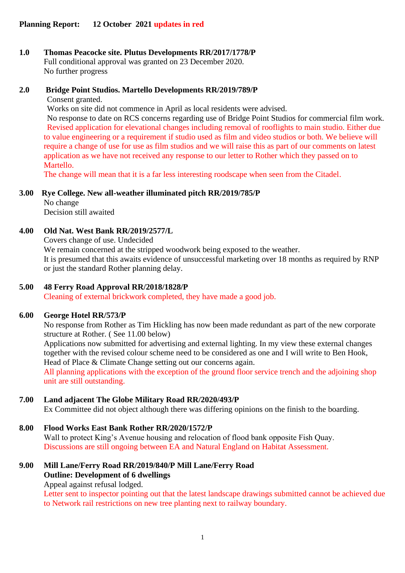# **1.0 Thomas Peacocke site. Plutus Developments RR/2017/1778/P** Full conditional approval was granted on 23 December 2020.

No further progress

# **2.0 Bridge Point Studios. Martello Developments RR/2019/789/P**

Consent granted.

Works on site did not commence in April as local residents were advised.

No response to date on RCS concerns regarding use of Bridge Point Studios for commercial film work. Revised application for elevational changes including removal of rooflights to main studio. Either due to value engineering or a requirement if studio used as film and video studios or both. We believe will require a change of use for use as film studios and we will raise this as part of our comments on latest application as we have not received any response to our letter to Rother which they passed on to Martello.

The change will mean that it is a far less interesting roodscape when seen from the Citadel.

# **3.00 Rye College. New all-weather illuminated pitch RR/2019/785/P**

No change Decision still awaited

# **4.00 Old Nat. West Bank RR/2019/2577/L**

Covers change of use. Undecided We remain concerned at the stripped woodwork being exposed to the weather. It is presumed that this awaits evidence of unsuccessful marketing over 18 months as required by RNP or just the standard Rother planning delay.

### **5.00 48 Ferry Road Approval RR/2018/1828/P**

Cleaning of external brickwork completed, they have made a good job.

### **6.00 George Hotel RR/573/P**

No response from Rother as Tim Hickling has now been made redundant as part of the new corporate structure at Rother. ( See 11.00 below)

Applications now submitted for advertising and external lighting. In my view these external changes together with the revised colour scheme need to be considered as one and I will write to Ben Hook, Head of Place & Climate Change setting out our concerns again.

All planning applications with the exception of the ground floor service trench and the adjoining shop unit are still outstanding.

### **7.00 Land adjacent The Globe Military Road RR/2020/493/P**

Ex Committee did not object although there was differing opinions on the finish to the boarding.

### **8.00 Flood Works East Bank Rother RR/2020/1572/P**

Wall to protect King's Avenue housing and relocation of flood bank opposite Fish Quay. Discussions are still ongoing between EA and Natural England on Habitat Assessment.

# **9.00 Mill Lane/Ferry Road RR/2019/840/P Mill Lane/Ferry Road Outline: Development of 6 dwellings**

Appeal against refusal lodged.

Letter sent to inspector pointing out that the latest landscape drawings submitted cannot be achieved due to Network rail restrictions on new tree planting next to railway boundary.